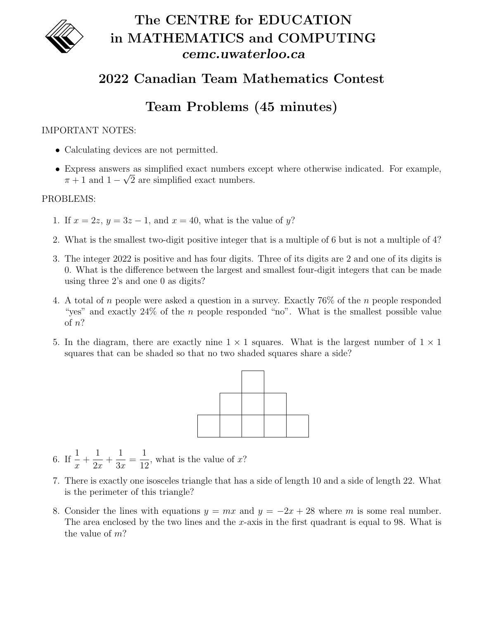

# The CENTRE for EDUCATION in MATHEMATICS and COMPUTING cemc.uwaterloo.ca

### 2022 Canadian Team Mathematics Contest

## Team Problems (45 minutes)

#### IMPORTANT NOTES:

- Calculating devices are not permitted.
- Express answers as simplified exact numbers except where otherwise indicated. For example, √  $\pi + 1$  and  $1 - \sqrt{2}$  are simplified exact numbers.

#### PROBLEMS:

- 1. If  $x = 2z$ ,  $y = 3z 1$ , and  $x = 40$ , what is the value of y?
- 2. What is the smallest two-digit positive integer that is a multiple of 6 but is not a multiple of 4?
- 3. The integer 2022 is positive and has four digits. Three of its digits are 2 and one of its digits is 0. What is the difference between the largest and smallest four-digit integers that can be made using three 2's and one 0 as digits?
- 4. A total of n people were asked a question in a survey. Exactly 76% of the n people responded "yes" and exactly  $24\%$  of the *n* people responded "no". What is the smallest possible value of n?
- 5. In the diagram, there are exactly nine  $1 \times 1$  squares. What is the largest number of  $1 \times 1$ squares that can be shaded so that no two shaded squares share a side?



- 6. If  $\frac{1}{1}$  $\overline{x}$  $+$ 1  $2x$  $+$ 1  $3x$ = 1 12 , what is the value of  $x$ ?
- 7. There is exactly one isosceles triangle that has a side of length 10 and a side of length 22. What is the perimeter of this triangle?
- 8. Consider the lines with equations  $y = mx$  and  $y = -2x + 28$  where m is some real number. The area enclosed by the two lines and the x-axis in the first quadrant is equal to 98. What is the value of m?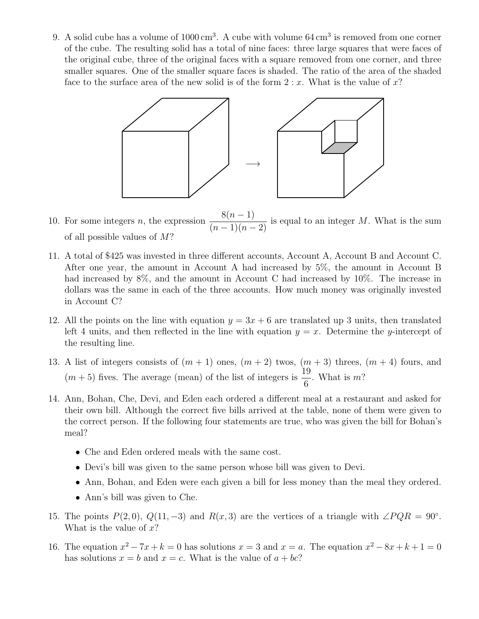9. A solid cube has a volume of  $1000 \text{ cm}^3$ . A cube with volume  $64 \text{ cm}^3$  is removed from one corner of the cube. The resulting solid has a total of nine faces: three large squares that were faces of the original cube, three of the original faces with a square removed from one corner, and three smaller squares. One of the smaller square faces is shaded. The ratio of the area of the shaded face to the surface area of the new solid is of the form  $2 : x$ . What is the value of x?



10. For some integers *n*, the expression  $\frac{8(n-1)}{6n}$  $\frac{\sigma(n-1)}{(n-1)(n-2)}$  is equal to an integer M. What is the sum of all possible values of  $M$ ?

- 11. A total of \$425 was invested in three different accounts, Account A, Account B and Account C. After one year, the amount in Account A had increased by 5%, the amount in Account B had increased by 8%, and the amount in Account C had increased by 10%. The increase in dollars was the same in each of the three accounts. How much money was originally invested in Account C?
- 12. All the points on the line with equation  $y = 3x + 6$  are translated up 3 units, then translated left 4 units, and then reflected in the line with equation  $y = x$ . Determine the y-intercept of the resulting line.
- 13. A list of integers consists of  $(m + 1)$  ones,  $(m + 2)$  twos,  $(m + 3)$  threes,  $(m + 4)$  fours, and  $(m+5)$  fives. The average (mean) of the list of integers is  $\frac{19}{6}$ 6 . What is m?
- 14. Ann, Bohan, Che, Devi, and Eden each ordered a different meal at a restaurant and asked for their own bill. Although the correct five bills arrived at the table, none of them were given to the correct person. If the following four statements are true, who was given the bill for Bohan's meal?
	- Che and Eden ordered meals with the same cost.
	- Devi's bill was given to the same person whose bill was given to Devi.
	- Ann, Bohan, and Eden were each given a bill for less money than the meal they ordered.
	- Ann's bill was given to Che.
- 15. The points  $P(2,0), Q(11,-3)$  and  $R(x,3)$  are the vertices of a triangle with  $\angle PQR = 90^\circ$ . What is the value of  $x$ ?
- 16. The equation  $x^2 7x + k = 0$  has solutions  $x = 3$  and  $x = a$ . The equation  $x^2 8x + k + 1 = 0$ has solutions  $x = b$  and  $x = c$ . What is the value of  $a + bc$ ?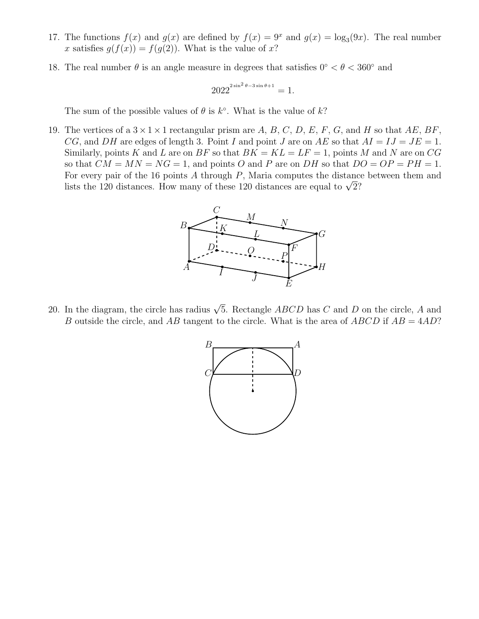- 17. The functions  $f(x)$  and  $g(x)$  are defined by  $f(x) = 9^x$  and  $g(x) = \log_3(9x)$ . The real number x satisfies  $g(f(x)) = f(g(2))$ . What is the value of x?
- 18. The real number  $\theta$  is an angle measure in degrees that satisfies  $0^{\circ} < \theta < 360^{\circ}$  and

$$
2022^{{2\sin^2\theta - 3\sin\theta + 1}} = 1.
$$

The sum of the possible values of  $\theta$  is  $k^{\circ}$ . What is the value of  $k$ ?

19. The vertices of a  $3 \times 1 \times 1$  rectangular prism are A, B, C, D, E, F, G, and H so that AE, BF, CG, and DH are edges of length 3. Point I and point J are on AE so that  $AI = IJ = JE = 1$ . Similarly, points K and L are on BF so that  $BK = KL = LF = 1$ , points M and N are on CG so that  $CM = MN = NG = 1$ , and points O and P are on DH so that  $DO = OP = PH = 1$ . For every pair of the 16 points A through P, Maria computes the distance between them and For every pair of the 10 points A through P, maria computes the distance<br>lists the 120 distances. How many of these 120 distances are equal to  $\sqrt{2}$ ?



20. In the diagram, the circle has radius  $\sqrt{5}$ . Rectangle  $ABCD$  has C and D on the circle, A and B outside the circle, and AB tangent to the circle. What is the area of  $ABCD$  if  $AB = 4AD$ ?

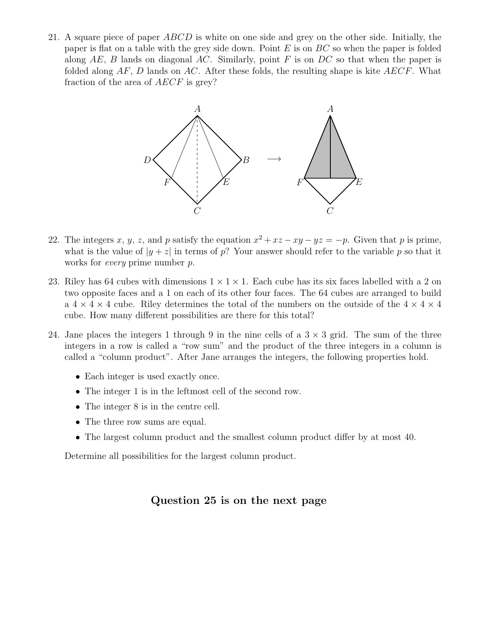21. A square piece of paper  $ABCD$  is white on one side and grey on the other side. Initially, the paper is flat on a table with the grey side down. Point  $E$  is on  $BC$  so when the paper is folded along  $AE$ , B lands on diagonal AC. Similarly, point F is on DC so that when the paper is folded along  $AF$ , D lands on  $AC$ . After these folds, the resulting shape is kite  $AECF$ . What fraction of the area of AECF is grey?



- 22. The integers x, y, z, and p satisfy the equation  $x^2 + xz xy yz = -p$ . Given that p is prime, what is the value of  $|y + z|$  in terms of p? Your answer should refer to the variable p so that it works for every prime number p.
- 23. Riley has 64 cubes with dimensions  $1 \times 1 \times 1$ . Each cube has its six faces labelled with a 2 on two opposite faces and a 1 on each of its other four faces. The 64 cubes are arranged to build a  $4 \times 4 \times 4$  cube. Riley determines the total of the numbers on the outside of the  $4 \times 4 \times 4$ cube. How many different possibilities are there for this total?
- 24. Jane places the integers 1 through 9 in the nine cells of a  $3 \times 3$  grid. The sum of the three integers in a row is called a "row sum" and the product of the three integers in a column is called a "column product". After Jane arranges the integers, the following properties hold.
	- Each integer is used exactly once.
	- The integer 1 is in the leftmost cell of the second row.
	- The integer 8 is in the centre cell.
	- The three row sums are equal.
	- The largest column product and the smallest column product differ by at most 40.

Determine all possibilities for the largest column product.

#### Question  $25$  is on the next page